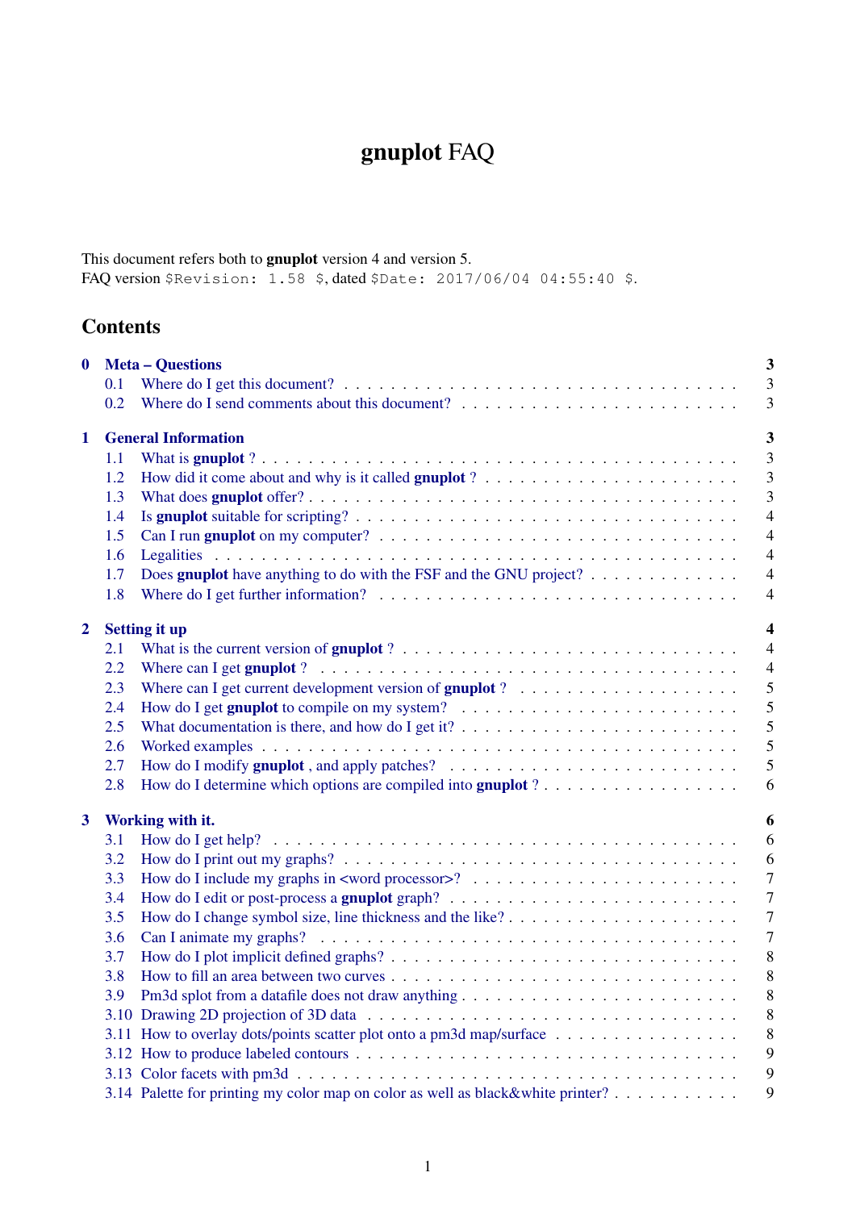# gnuplot FAQ

This document refers both to gnuplot version 4 and version 5. FAQ version \$Revision: 1.58 \$, dated \$Date: 2017/06/04 04:55:40 \$.

# **Contents**

| $\boldsymbol{0}$        |                                                 | <b>Meta - Questions</b>                                                                                                 | 3              |  |  |  |
|-------------------------|-------------------------------------------------|-------------------------------------------------------------------------------------------------------------------------|----------------|--|--|--|
|                         | 0.1                                             |                                                                                                                         | 3              |  |  |  |
|                         | 0.2                                             |                                                                                                                         | 3              |  |  |  |
| 1                       | <b>General Information</b>                      |                                                                                                                         |                |  |  |  |
|                         | 1.1                                             |                                                                                                                         | 3              |  |  |  |
|                         | 1.2                                             |                                                                                                                         | 3              |  |  |  |
|                         | 1.3                                             |                                                                                                                         | 3              |  |  |  |
|                         | 1.4                                             |                                                                                                                         | $\overline{4}$ |  |  |  |
|                         | 1.5                                             |                                                                                                                         | $\overline{4}$ |  |  |  |
|                         | 1.6                                             |                                                                                                                         | $\overline{4}$ |  |  |  |
|                         | 1.7                                             | Does <b>gnuplot</b> have anything to do with the FSF and the GNU project? $\ldots$                                      | $\overline{4}$ |  |  |  |
|                         | 1.8                                             |                                                                                                                         | $\overline{4}$ |  |  |  |
| $\mathbf{2}$            | $\overline{\mathbf{4}}$<br><b>Setting it up</b> |                                                                                                                         |                |  |  |  |
|                         | 2.1                                             | What is the current version of gnuplot $? \ldots \ldots \ldots \ldots \ldots \ldots \ldots \ldots \ldots \ldots \ldots$ | $\overline{4}$ |  |  |  |
|                         | 2.2                                             |                                                                                                                         | $\overline{4}$ |  |  |  |
|                         | 2.3                                             | Where can I get current development version of <b>gnuplot</b> ? $\ldots \ldots \ldots \ldots \ldots \ldots \ldots$      | 5              |  |  |  |
|                         | 2.4                                             |                                                                                                                         | 5              |  |  |  |
|                         | 2.5                                             | What documentation is there, and how do I get it? $\dots \dots \dots \dots \dots \dots \dots \dots \dots \dots$         | 5              |  |  |  |
|                         | 2.6                                             |                                                                                                                         | 5              |  |  |  |
|                         | 2.7                                             |                                                                                                                         | 5              |  |  |  |
|                         | 2.8                                             |                                                                                                                         | 6              |  |  |  |
| $\overline{\mathbf{3}}$ | Working with it.<br>6                           |                                                                                                                         |                |  |  |  |
|                         | 3.1                                             |                                                                                                                         | 6              |  |  |  |
|                         | 3.2                                             |                                                                                                                         | 6              |  |  |  |
|                         | 3.3                                             |                                                                                                                         | $\overline{7}$ |  |  |  |
|                         | 3.4                                             |                                                                                                                         | $\overline{7}$ |  |  |  |
|                         | 3.5                                             |                                                                                                                         | $\overline{7}$ |  |  |  |
|                         | 3.6                                             |                                                                                                                         | $\overline{7}$ |  |  |  |
|                         | 3.7                                             |                                                                                                                         | 8              |  |  |  |
|                         | 3.8                                             |                                                                                                                         | 8              |  |  |  |
|                         | 3.9                                             |                                                                                                                         | 8              |  |  |  |
|                         |                                                 |                                                                                                                         | 8              |  |  |  |
|                         |                                                 | 3.11 How to overlay dots/points scatter plot onto a pm3d map/surface                                                    | 8              |  |  |  |
|                         |                                                 |                                                                                                                         | 9              |  |  |  |
|                         |                                                 |                                                                                                                         | 9              |  |  |  |
|                         |                                                 | 3.14 Palette for printing my color map on color as well as black&white printer?                                         | 9              |  |  |  |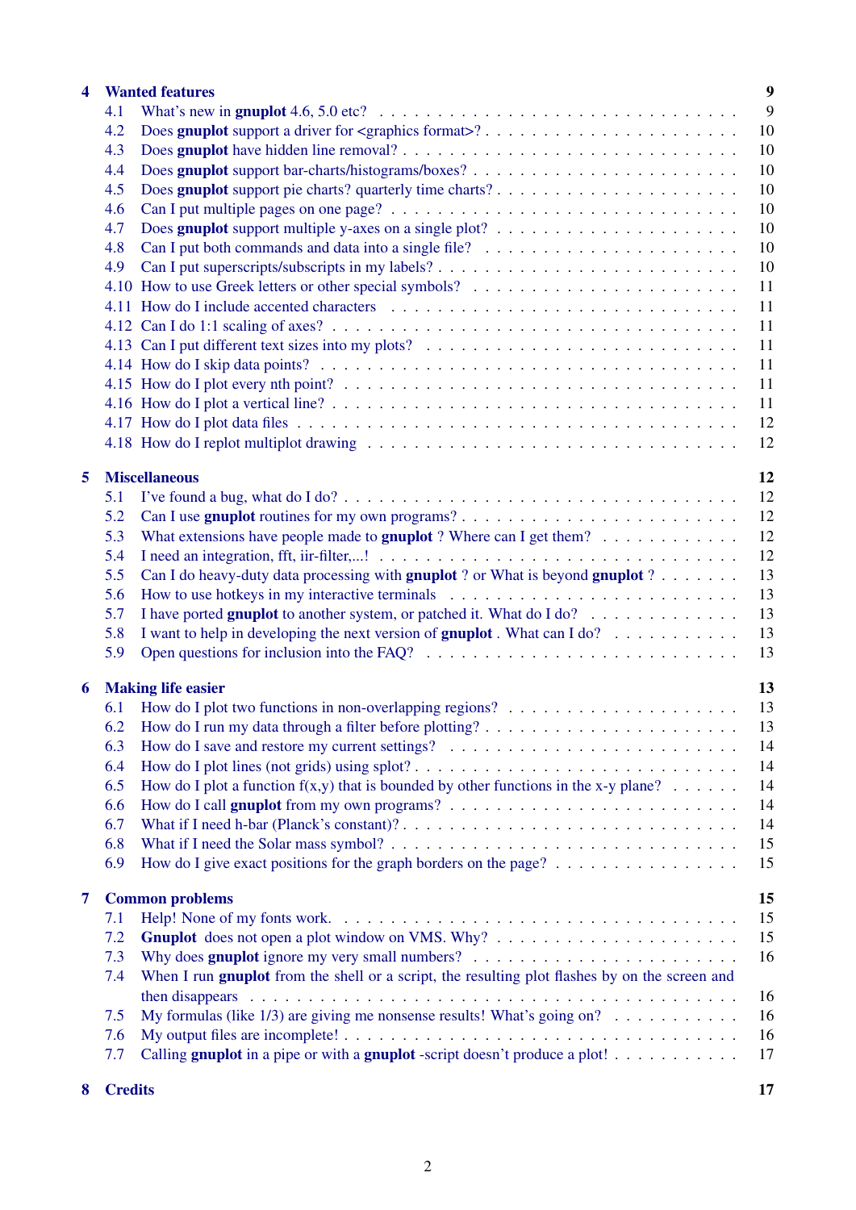| $\overline{\mathbf{4}}$ |                                 | <b>Wanted features</b>                                                                                                                                                                                                        | 9  |  |  |
|-------------------------|---------------------------------|-------------------------------------------------------------------------------------------------------------------------------------------------------------------------------------------------------------------------------|----|--|--|
|                         | 4.1                             | What's new in gruplot 4.6, 5.0 etc? $\ldots \ldots \ldots \ldots \ldots \ldots \ldots \ldots \ldots \ldots \ldots \ldots$                                                                                                     | 9  |  |  |
|                         | 4.2                             |                                                                                                                                                                                                                               | 10 |  |  |
|                         | 4.3                             |                                                                                                                                                                                                                               | 10 |  |  |
|                         | 4.4                             |                                                                                                                                                                                                                               | 10 |  |  |
|                         | 4.5                             |                                                                                                                                                                                                                               | 10 |  |  |
|                         | 4.6                             |                                                                                                                                                                                                                               | 10 |  |  |
|                         | 4.7                             |                                                                                                                                                                                                                               | 10 |  |  |
|                         | 4.8                             |                                                                                                                                                                                                                               | 10 |  |  |
|                         | 4.9                             |                                                                                                                                                                                                                               | 10 |  |  |
|                         |                                 |                                                                                                                                                                                                                               | 11 |  |  |
|                         |                                 |                                                                                                                                                                                                                               |    |  |  |
|                         |                                 |                                                                                                                                                                                                                               | 11 |  |  |
|                         |                                 |                                                                                                                                                                                                                               | 11 |  |  |
|                         |                                 |                                                                                                                                                                                                                               | 11 |  |  |
|                         |                                 |                                                                                                                                                                                                                               | 11 |  |  |
|                         |                                 |                                                                                                                                                                                                                               | 11 |  |  |
|                         |                                 |                                                                                                                                                                                                                               | 11 |  |  |
|                         |                                 |                                                                                                                                                                                                                               | 12 |  |  |
|                         |                                 |                                                                                                                                                                                                                               | 12 |  |  |
|                         |                                 |                                                                                                                                                                                                                               |    |  |  |
| 5                       |                                 | <b>Miscellaneous</b>                                                                                                                                                                                                          | 12 |  |  |
|                         | 5.1                             |                                                                                                                                                                                                                               | 12 |  |  |
|                         | 5.2                             |                                                                                                                                                                                                                               | 12 |  |  |
|                         | 5.3                             | What extensions have people made to <b>gnuplot</b> ? Where can I get them? $\ldots \ldots \ldots \ldots$                                                                                                                      | 12 |  |  |
|                         | 5.4                             |                                                                                                                                                                                                                               | 12 |  |  |
|                         | 5.5                             | Can I do heavy-duty data processing with gnuplot ? or What is beyond gnuplot ?                                                                                                                                                | 13 |  |  |
|                         | 5.6                             |                                                                                                                                                                                                                               | 13 |  |  |
|                         | 5.7                             | I have ported gnuplot to another system, or patched it. What do I do?                                                                                                                                                         | 13 |  |  |
|                         | 5.8                             | I want to help in developing the next version of <b>gnuplot</b> . What can I do? $\ldots \ldots \ldots \ldots$                                                                                                                | 13 |  |  |
|                         | 5.9                             | Open questions for inclusion into the FAQ? $\ldots \ldots \ldots \ldots \ldots \ldots \ldots \ldots \ldots \ldots$                                                                                                            | 13 |  |  |
|                         |                                 |                                                                                                                                                                                                                               |    |  |  |
| 6                       | 13<br><b>Making life easier</b> |                                                                                                                                                                                                                               |    |  |  |
|                         | 6.1                             | How do I plot two functions in non-overlapping regions? $\dots \dots \dots \dots \dots \dots \dots \dots$                                                                                                                     | 13 |  |  |
|                         | 6.2                             |                                                                                                                                                                                                                               | 13 |  |  |
|                         | 6.3                             |                                                                                                                                                                                                                               | 14 |  |  |
|                         | 6.4                             |                                                                                                                                                                                                                               | 14 |  |  |
|                         | 6.5                             | How do I plot a function $f(x,y)$ that is bounded by other functions in the x-y plane?                                                                                                                                        | 14 |  |  |
|                         |                                 |                                                                                                                                                                                                                               |    |  |  |
|                         | 6.6                             |                                                                                                                                                                                                                               | 14 |  |  |
|                         | 6.7                             |                                                                                                                                                                                                                               | 14 |  |  |
|                         | 6.8                             |                                                                                                                                                                                                                               | 15 |  |  |
|                         | 6.9                             | How do I give exact positions for the graph borders on the page? $\dots \dots \dots \dots \dots$                                                                                                                              | 15 |  |  |
| $\overline{7}$          |                                 | <b>Common problems</b>                                                                                                                                                                                                        | 15 |  |  |
|                         | 7.1                             |                                                                                                                                                                                                                               | 15 |  |  |
|                         |                                 |                                                                                                                                                                                                                               |    |  |  |
|                         | 7.2                             |                                                                                                                                                                                                                               | 15 |  |  |
|                         | 7.3                             |                                                                                                                                                                                                                               | 16 |  |  |
|                         | 7.4                             | When I run <b>gnuplot</b> from the shell or a script, the resulting plot flashes by on the screen and                                                                                                                         |    |  |  |
|                         |                                 | then disappears entertainment and the disappears entertainment of the contract of the disappears of the contract of the disappears of the disappears of the disappears of the contract of the disappears of the disappears of | 16 |  |  |
|                         | 7.5                             | My formulas (like $1/3$ ) are giving me nonsense results! What's going on?                                                                                                                                                    | 16 |  |  |
|                         | 7.6                             |                                                                                                                                                                                                                               | 16 |  |  |
|                         | 7.7                             | Calling gnuplot in a pipe or with a gnuplot-script doesn't produce a plot!                                                                                                                                                    | 17 |  |  |
|                         |                                 |                                                                                                                                                                                                                               |    |  |  |
| 8                       | <b>Credits</b>                  |                                                                                                                                                                                                                               | 17 |  |  |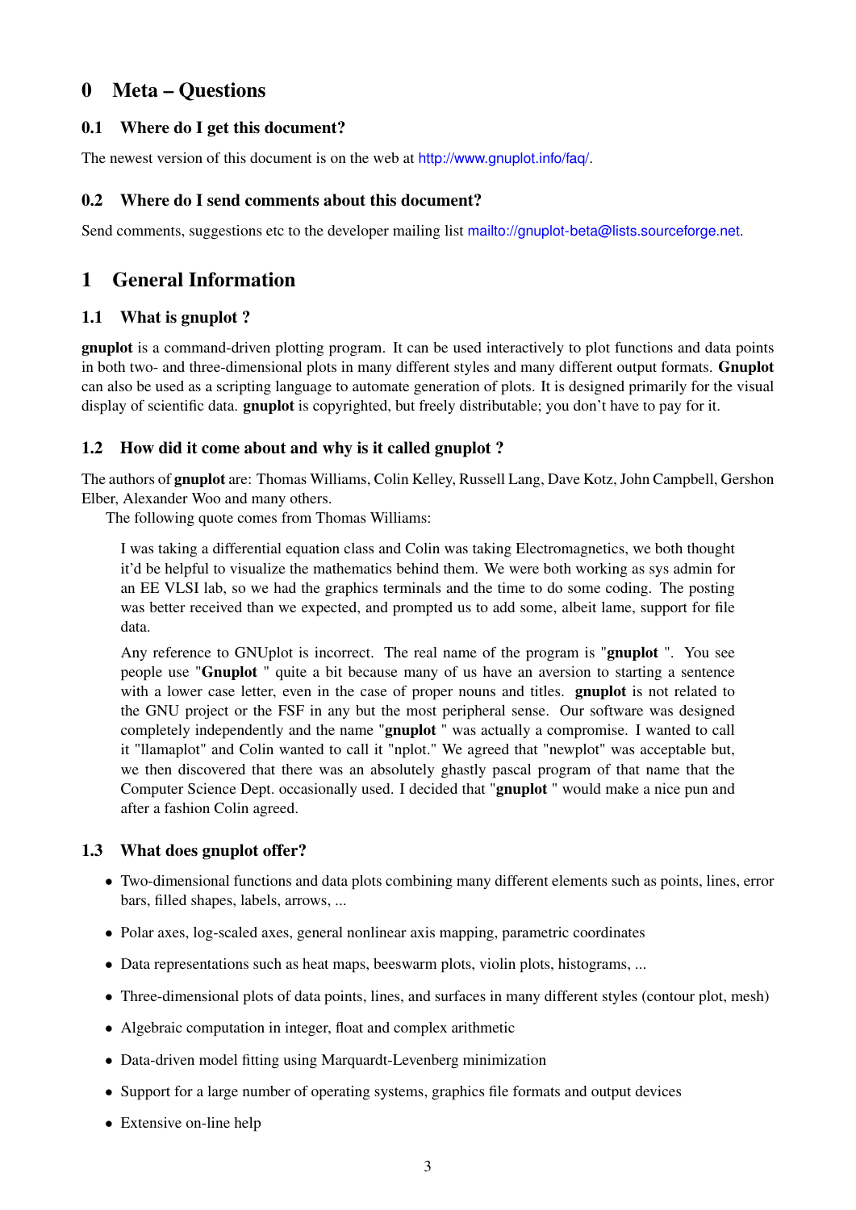## <span id="page-2-0"></span>0 Meta – Questions

## <span id="page-2-1"></span>0.1 Where do I get this document?

The newest version of this document is on the web at <http://www.gnuplot.info/faq/>.

## <span id="page-2-2"></span>0.2 Where do I send comments about this document?

Send comments, suggestions etc to the developer mailing list <mailto://gnuplot-beta@lists.sourceforge.net>.

## <span id="page-2-3"></span>1 General Information

## <span id="page-2-4"></span>1.1 What is gnuplot ?

gnuplot is a command-driven plotting program. It can be used interactively to plot functions and data points in both two- and three-dimensional plots in many different styles and many different output formats. Gnuplot can also be used as a scripting language to automate generation of plots. It is designed primarily for the visual display of scientific data. **gnuplot** is copyrighted, but freely distributable; you don't have to pay for it.

## <span id="page-2-5"></span>1.2 How did it come about and why is it called gnuplot ?

The authors of gnuplot are: Thomas Williams, Colin Kelley, Russell Lang, Dave Kotz, John Campbell, Gershon Elber, Alexander Woo and many others.

The following quote comes from Thomas Williams:

I was taking a differential equation class and Colin was taking Electromagnetics, we both thought it'd be helpful to visualize the mathematics behind them. We were both working as sys admin for an EE VLSI lab, so we had the graphics terminals and the time to do some coding. The posting was better received than we expected, and prompted us to add some, albeit lame, support for file data.

Any reference to GNUplot is incorrect. The real name of the program is "gnuplot ". You see people use "Gnuplot " quite a bit because many of us have an aversion to starting a sentence with a lower case letter, even in the case of proper nouns and titles. **gnuplot** is not related to the GNU project or the FSF in any but the most peripheral sense. Our software was designed completely independently and the name "gnuplot " was actually a compromise. I wanted to call it "llamaplot" and Colin wanted to call it "nplot." We agreed that "newplot" was acceptable but, we then discovered that there was an absolutely ghastly pascal program of that name that the Computer Science Dept. occasionally used. I decided that "gnuplot " would make a nice pun and after a fashion Colin agreed.

## <span id="page-2-6"></span>1.3 What does gnuplot offer?

- Two-dimensional functions and data plots combining many different elements such as points, lines, error bars, filled shapes, labels, arrows, ...
- Polar axes, log-scaled axes, general nonlinear axis mapping, parametric coordinates
- Data representations such as heat maps, beeswarm plots, violin plots, histograms, ...
- Three-dimensional plots of data points, lines, and surfaces in many different styles (contour plot, mesh)
- Algebraic computation in integer, float and complex arithmetic
- Data-driven model fitting using Marquardt-Levenberg minimization
- Support for a large number of operating systems, graphics file formats and output devices
- Extensive on-line help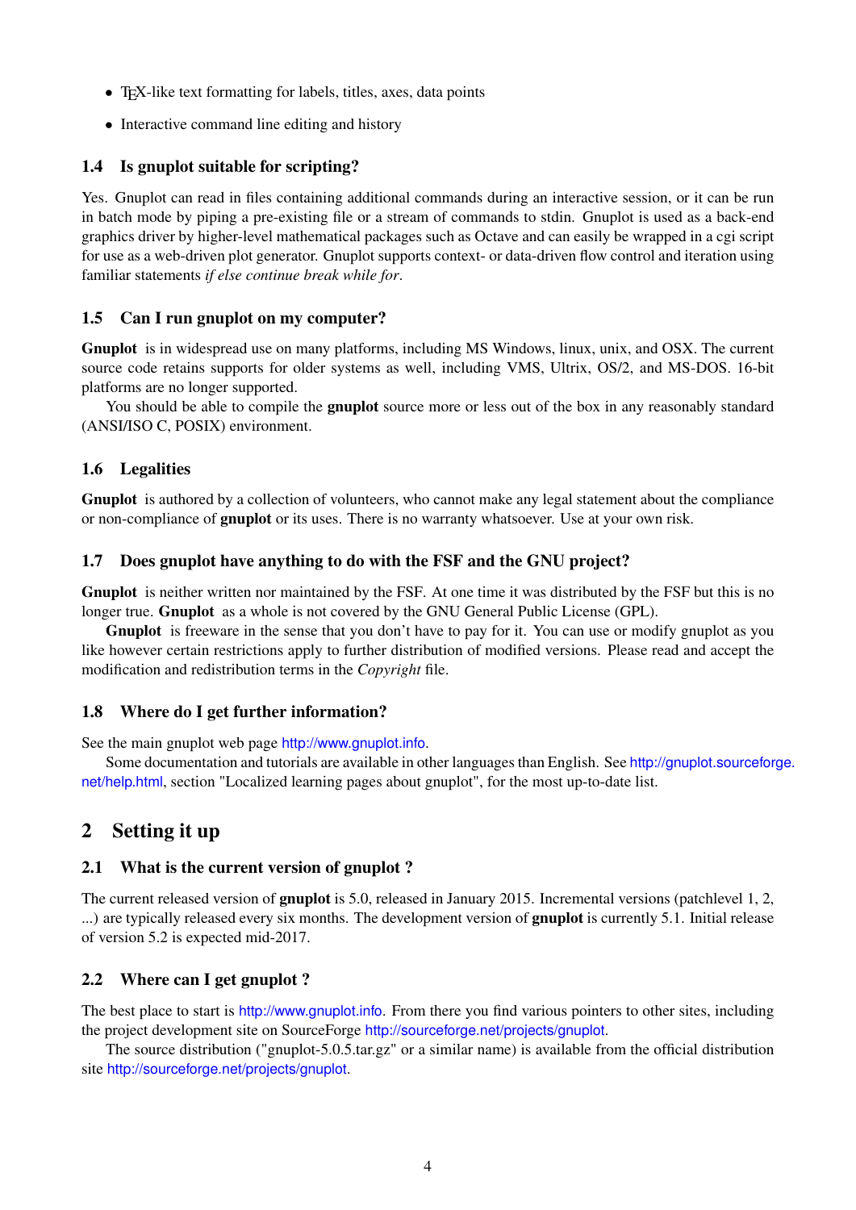- T<sub>E</sub>X-like text formatting for labels, titles, axes, data points
- Interactive command line editing and history

## <span id="page-3-0"></span>1.4 Is gnuplot suitable for scripting?

Yes. Gnuplot can read in files containing additional commands during an interactive session, or it can be run in batch mode by piping a pre-existing file or a stream of commands to stdin. Gnuplot is used as a back-end graphics driver by higher-level mathematical packages such as Octave and can easily be wrapped in a cgi script for use as a web-driven plot generator. Gnuplot supports context- or data-driven flow control and iteration using familiar statements *if else continue break while for*.

## <span id="page-3-1"></span>1.5 Can I run gnuplot on my computer?

Gnuplot is in widespread use on many platforms, including MS Windows, linux, unix, and OSX. The current source code retains supports for older systems as well, including VMS, Ultrix, OS/2, and MS-DOS. 16-bit platforms are no longer supported.

You should be able to compile the **gnuplot** source more or less out of the box in any reasonably standard (ANSI/ISO C, POSIX) environment.

## <span id="page-3-2"></span>1.6 Legalities

Gnuplot is authored by a collection of volunteers, who cannot make any legal statement about the compliance or non-compliance of gnuplot or its uses. There is no warranty whatsoever. Use at your own risk.

## <span id="page-3-3"></span>1.7 Does gnuplot have anything to do with the FSF and the GNU project?

Gnuplot is neither written nor maintained by the FSF. At one time it was distributed by the FSF but this is no longer true. Gnuplot as a whole is not covered by the GNU General Public License (GPL).

Gnuplot is freeware in the sense that you don't have to pay for it. You can use or modify gnuplot as you like however certain restrictions apply to further distribution of modified versions. Please read and accept the modification and redistribution terms in the *Copyright* file.

## <span id="page-3-4"></span>1.8 Where do I get further information?

See the main gnuplot web page <http://www.gnuplot.info>.

Some documentation and tutorials are available in other languages than English. See [http://gnuplot.sourceforg](http://gnuplot.sourceforge.net/help.html)e. [net/help.html](http://gnuplot.sourceforge.net/help.html), section "Localized learning pages about gnuplot", for the most up-to-date list.

## <span id="page-3-5"></span>2 Setting it up

## <span id="page-3-6"></span>2.1 What is the current version of gnuplot ?

The current released version of gnuplot is 5.0, released in January 2015. Incremental versions (patchlevel 1, 2, ...) are typically released every six months. The development version of gnuplot is currently 5.1. Initial release of version 5.2 is expected mid-2017.

## <span id="page-3-7"></span>2.2 Where can I get gnuplot ?

The best place to start is <http://www.gnuplot.info>. From there you find various pointers to other sites, including the project development site on SourceForge <http://sourceforge.net/projects/gnuplot>.

The source distribution ("gnuplot-5.0.5.tar.gz" or a similar name) is available from the official distribution site <http://sourceforge.net/projects/gnuplot>.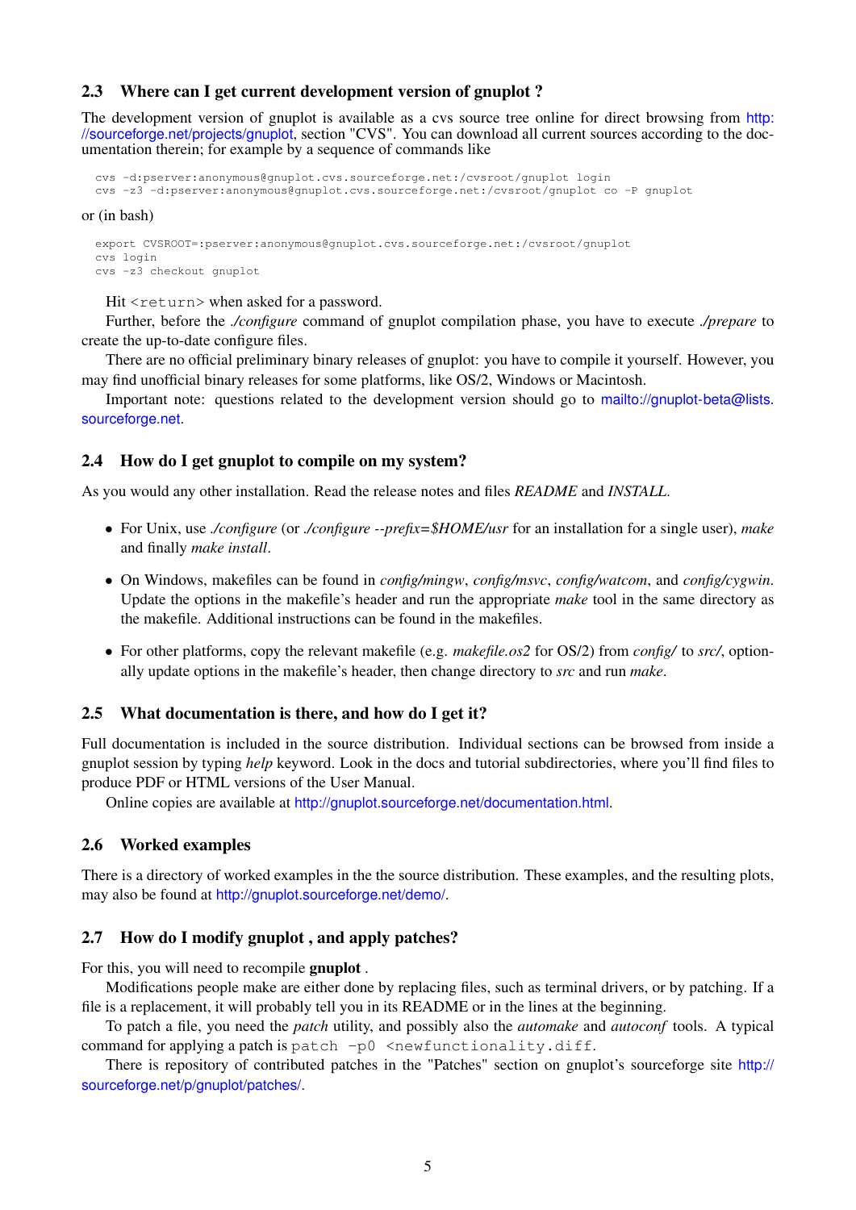## <span id="page-4-0"></span>2.3 Where can I get current development version of gnuplot ?

The development version of gnuplot is available as a cvs source tree online for direct browsing from [http:](http://sourceforge.net/projects/gnuplot) [//sourceforge.net/projects/gnuplot](http://sourceforge.net/projects/gnuplot), section "CVS". You can download all current sources according to the documentation therein; for example by a sequence of commands like

```
cvs -d:pserver:anonymous@gnuplot.cvs.sourceforge.net:/cvsroot/gnuplot login
cvs -z3 -d:pserver:anonymous@gnuplot.cvs.sourceforge.net:/cvsroot/gnuplot co -P gnuplot
```
#### or (in bash)

export CVSROOT=:pserver:anonymous@gnuplot.cvs.sourceforge.net:/cvsroot/gnuplot cvs login cvs -z3 checkout gnuplot

Hit <return> when asked for a password.

Further, before the *./configure* command of gnuplot compilation phase, you have to execute *./prepare* to create the up-to-date configure files.

There are no official preliminary binary releases of gnuplot: you have to compile it yourself. However, you may find unofficial binary releases for some platforms, like OS/2, Windows or Macintosh.

Important note: questions related to the development version should go to [mailto://gnuplot-beta@lists.](mailto://gnuplot-beta@lists.sourceforge.net) [sourceforge.net](mailto://gnuplot-beta@lists.sourceforge.net).

#### <span id="page-4-1"></span>2.4 How do I get gnuplot to compile on my system?

As you would any other installation. Read the release notes and files *README* and *INSTALL*.

- For Unix, use *./configure* (or *./configure --prefix=\$HOME/usr* for an installation for a single user), *make* and finally *make install*.
- On Windows, makefiles can be found in *config/mingw*, *config/msvc*, *config/watcom*, and *config/cygwin*. Update the options in the makefile's header and run the appropriate *make* tool in the same directory as the makefile. Additional instructions can be found in the makefiles.
- For other platforms, copy the relevant makefile (e.g. *makefile.os2* for OS/2) from *config/* to *src/*, optionally update options in the makefile's header, then change directory to *src* and run *make*.

#### <span id="page-4-2"></span>2.5 What documentation is there, and how do I get it?

Full documentation is included in the source distribution. Individual sections can be browsed from inside a gnuplot session by typing *help* keyword. Look in the docs and tutorial subdirectories, where you'll find files to produce PDF or HTML versions of the User Manual.

Online copies are available at <http://gnuplot.sourceforge.net/documentation.html>.

## <span id="page-4-3"></span>2.6 Worked examples

There is a directory of worked examples in the the source distribution. These examples, and the resulting plots, may also be found at <http://gnuplot.sourceforge.net/demo/>.

## <span id="page-4-4"></span>2.7 How do I modify gnuplot , and apply patches?

For this, you will need to recompile gnuplot .

Modifications people make are either done by replacing files, such as terminal drivers, or by patching. If a file is a replacement, it will probably tell you in its README or in the lines at the beginning.

To patch a file, you need the *patch* utility, and possibly also the *automake* and *autoconf* tools. A typical command for applying a patch is patch  $-p0$  <newfunctionality.diff.

There is repository of contributed patches in the "Patches" section on gnuplot's sourceforge site [http://](http://sourceforge.net/p/gnuplot/patches/) [sourceforge.net/p/gnuplot/patches/](http://sourceforge.net/p/gnuplot/patches/).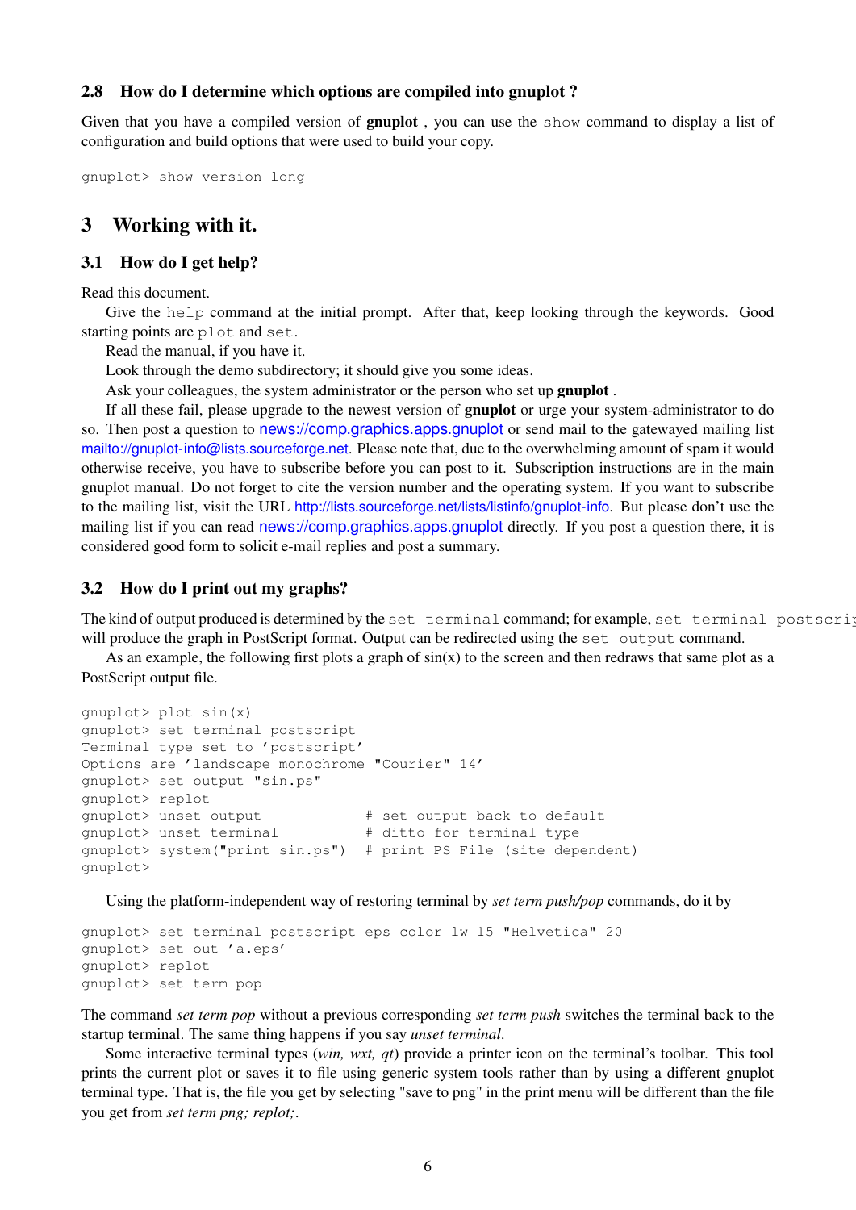### <span id="page-5-0"></span>2.8 How do I determine which options are compiled into gnuplot ?

Given that you have a compiled version of gnuplot , you can use the show command to display a list of configuration and build options that were used to build your copy.

```
gnuplot> show version long
```
## <span id="page-5-1"></span>3 Working with it.

## <span id="page-5-2"></span>3.1 How do I get help?

Read this document.

Give the help command at the initial prompt. After that, keep looking through the keywords. Good starting points are plot and set.

Read the manual, if you have it.

Look through the demo subdirectory; it should give you some ideas.

Ask your colleagues, the system administrator or the person who set up **gnuplot**.

If all these fail, please upgrade to the newest version of gnuplot or urge your system-administrator to do so. Then post a question to <news://comp.graphics.apps.gnuplot> or send mail to the gatewayed mailing list <mailto://gnuplot-info@lists.sourceforge.net>. Please note that, due to the overwhelming amount of spam it would otherwise receive, you have to subscribe before you can post to it. Subscription instructions are in the main gnuplot manual. Do not forget to cite the version number and the operating system. If you want to subscribe to the mailing list, visit the URL <http://lists.sourceforge.net/lists/listinfo/gnuplot-info>. But please don't use the mailing list if you can read <news://comp.graphics.apps.gnuplot> directly. If you post a question there, it is considered good form to solicit e-mail replies and post a summary.

## <span id="page-5-3"></span>3.2 How do I print out my graphs?

The kind of output produced is determined by the set terminal command; for example, set terminal postscription will produce the graph in PostScript format. Output can be redirected using the set output command.

As an example, the following first plots a graph of  $sin(x)$  to the screen and then redraws that same plot as a PostScript output file.

```
gnuplot> plot sin(x)
gnuplot> set terminal postscript
Terminal type set to 'postscript'
Options are 'landscape monochrome "Courier" 14'
gnuplot> set output "sin.ps"
gnuplot> replot
gnuplot> unset output # set output back to default
gnuplot> unset terminal # ditto for terminal type
gnuplot> system("print sin.ps") # print PS File (site dependent)
gnuplot>
```
Using the platform-independent way of restoring terminal by *set term push/pop* commands, do it by

```
gnuplot> set terminal postscript eps color lw 15 "Helvetica" 20
gnuplot> set out 'a.eps'
gnuplot> replot
gnuplot> set term pop
```
The command *set term pop* without a previous corresponding *set term push* switches the terminal back to the startup terminal. The same thing happens if you say *unset terminal*.

Some interactive terminal types (*win, wxt, qt*) provide a printer icon on the terminal's toolbar. This tool prints the current plot or saves it to file using generic system tools rather than by using a different gnuplot terminal type. That is, the file you get by selecting "save to png" in the print menu will be different than the file you get from *set term png; replot;*.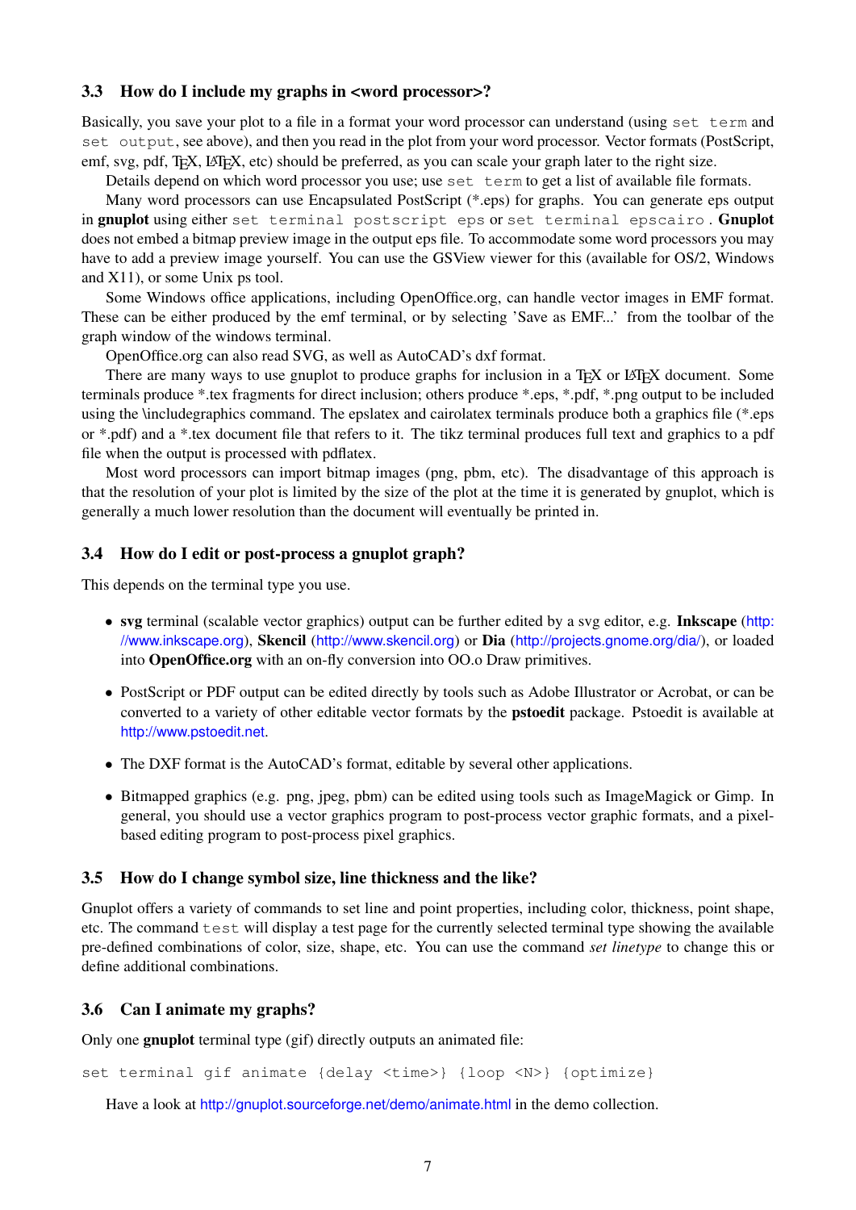## <span id="page-6-0"></span>3.3 How do I include my graphs in <word processor>?

Basically, you save your plot to a file in a format your word processor can understand (using set term and set output, see above), and then you read in the plot from your word processor. Vector formats (PostScript, emf, svg, pdf, TEX, LATEX, etc) should be preferred, as you can scale your graph later to the right size.

Details depend on which word processor you use; use set term to get a list of available file formats.

Many word processors can use Encapsulated PostScript (\*.eps) for graphs. You can generate eps output in gnuplot using either set terminal postscript eps or set terminal epscairo . Gnuplot does not embed a bitmap preview image in the output eps file. To accommodate some word processors you may have to add a preview image yourself. You can use the GSView viewer for this (available for OS/2, Windows and X11), or some Unix ps tool.

Some Windows office applications, including OpenOffice.org, can handle vector images in EMF format. These can be either produced by the emf terminal, or by selecting 'Save as EMF...' from the toolbar of the graph window of the windows terminal.

OpenOffice.org can also read SVG, as well as AutoCAD's dxf format.

There are many ways to use gnuplot to produce graphs for inclusion in a T<sub>EX</sub> or LAT<sub>EX</sub> document. Some terminals produce \*.tex fragments for direct inclusion; others produce \*.eps, \*.pdf, \*.png output to be included using the \includegraphics command. The epslatex and cairolatex terminals produce both a graphics file (\*.eps or \*.pdf) and a \*.tex document file that refers to it. The tikz terminal produces full text and graphics to a pdf file when the output is processed with pdflatex.

Most word processors can import bitmap images (png, pbm, etc). The disadvantage of this approach is that the resolution of your plot is limited by the size of the plot at the time it is generated by gnuplot, which is generally a much lower resolution than the document will eventually be printed in.

#### <span id="page-6-1"></span>3.4 How do I edit or post-process a gnuplot graph?

This depends on the terminal type you use.

- svg terminal (scalable vector graphics) output can be further edited by a svg editor, e.g. Inkscape ([http:](http://www.inkscape.org) [//www.inkscape.org](http://www.inkscape.org)), Skencil (<http://www.skencil.org>) or Dia (<http://projects.gnome.org/dia/>), or loaded into OpenOffice.org with an on-fly conversion into OO.o Draw primitives.
- PostScript or PDF output can be edited directly by tools such as Adobe Illustrator or Acrobat, or can be converted to a variety of other editable vector formats by the pstoedit package. Pstoedit is available at <http://www.pstoedit.net>.
- The DXF format is the AutoCAD's format, editable by several other applications.
- Bitmapped graphics (e.g. png, jpeg, pbm) can be edited using tools such as ImageMagick or Gimp. In general, you should use a vector graphics program to post-process vector graphic formats, and a pixelbased editing program to post-process pixel graphics.

#### <span id="page-6-2"></span>3.5 How do I change symbol size, line thickness and the like?

Gnuplot offers a variety of commands to set line and point properties, including color, thickness, point shape, etc. The command test will display a test page for the currently selected terminal type showing the available pre-defined combinations of color, size, shape, etc. You can use the command *set linetype* to change this or define additional combinations.

## <span id="page-6-3"></span>3.6 Can I animate my graphs?

Only one gnuplot terminal type (gif) directly outputs an animated file:

```
set terminal gif animate {delay <time>} {loop <N>} {optimize}
```
Have a look at <http://gnuplot.sourceforge.net/demo/animate.html> in the demo collection.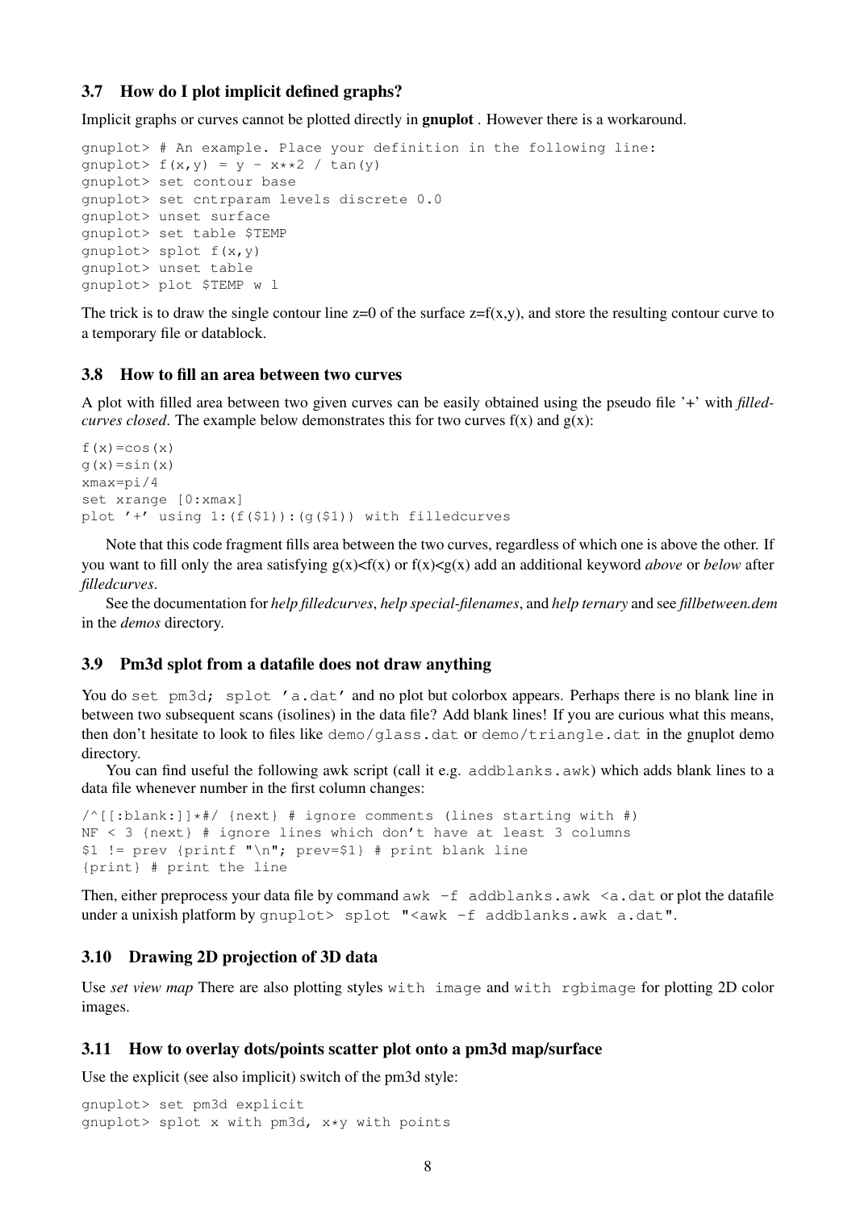#### <span id="page-7-0"></span>3.7 How do I plot implicit defined graphs?

Implicit graphs or curves cannot be plotted directly in gnuplot . However there is a workaround.

```
gnuplot> # An example. Place your definition in the following line:
qnuplot> f(x,y) = y - x**2 / tan(y)gnuplot> set contour base
gnuplot> set cntrparam levels discrete 0.0
gnuplot> unset surface
gnuplot> set table $TEMP
gnuplot> splot f(x,y)
gnuplot> unset table
gnuplot> plot $TEMP w l
```
The trick is to draw the single contour line  $z=0$  of the surface  $z=f(x,y)$ , and store the resulting contour curve to a temporary file or datablock.

## <span id="page-7-1"></span>3.8 How to fill an area between two curves

A plot with filled area between two given curves can be easily obtained using the pseudo file '+' with *filledcurves closed*. The example below demonstrates this for two curves  $f(x)$  and  $g(x)$ :

```
f(x) = cos(x)q(x)=sin(x)xmax=pi/4
set xrange [0:xmax]
plot '+' using 1: (f(51)): (g(51)) with filledcurves
```
Note that this code fragment fills area between the two curves, regardless of which one is above the other. If you want to fill only the area satisfying  $g(x) < f(x)$  or  $f(x) < g(x)$  add an additional keyword *above* or *below* after *filledcurves*.

See the documentation for *help filledcurves*, *help special-filenames*, and *help ternary* and see *fillbetween.dem* in the *demos* directory.

#### <span id="page-7-2"></span>3.9 Pm3d splot from a datafile does not draw anything

You do set pm3d; splot 'a.dat' and no plot but colorbox appears. Perhaps there is no blank line in between two subsequent scans (isolines) in the data file? Add blank lines! If you are curious what this means, then don't hesitate to look to files like demo/glass.dat or demo/triangle.dat in the gnuplot demo directory.

You can find useful the following awk script (call it e.g. addblanks.awk) which adds blank lines to a data file whenever number in the first column changes:

```
/^[[:blank:]]*#/ {next} # ignore comments (lines starting with #)
NF < 3 {next} # ignore lines which don't have at least 3 columns
$1 != prev {printf "\n"; prev=$1} # print blank line
{print} # print the line
```
Then, either preprocess your data file by command  $awk -f$  addblanks.awk  $\leq a$ .dat or plot the datafile under a unixish platform by gnuplot> splot "<awk -f addblanks.awk a.dat".

## <span id="page-7-3"></span>3.10 Drawing 2D projection of 3D data

Use *set view map* There are also plotting styles with image and with rgbimage for plotting 2D color images.

#### <span id="page-7-4"></span>3.11 How to overlay dots/points scatter plot onto a pm3d map/surface

Use the explicit (see also implicit) switch of the pm3d style:

```
gnuplot> set pm3d explicit
gnuplot> splot x with pm3d, x*y with points
```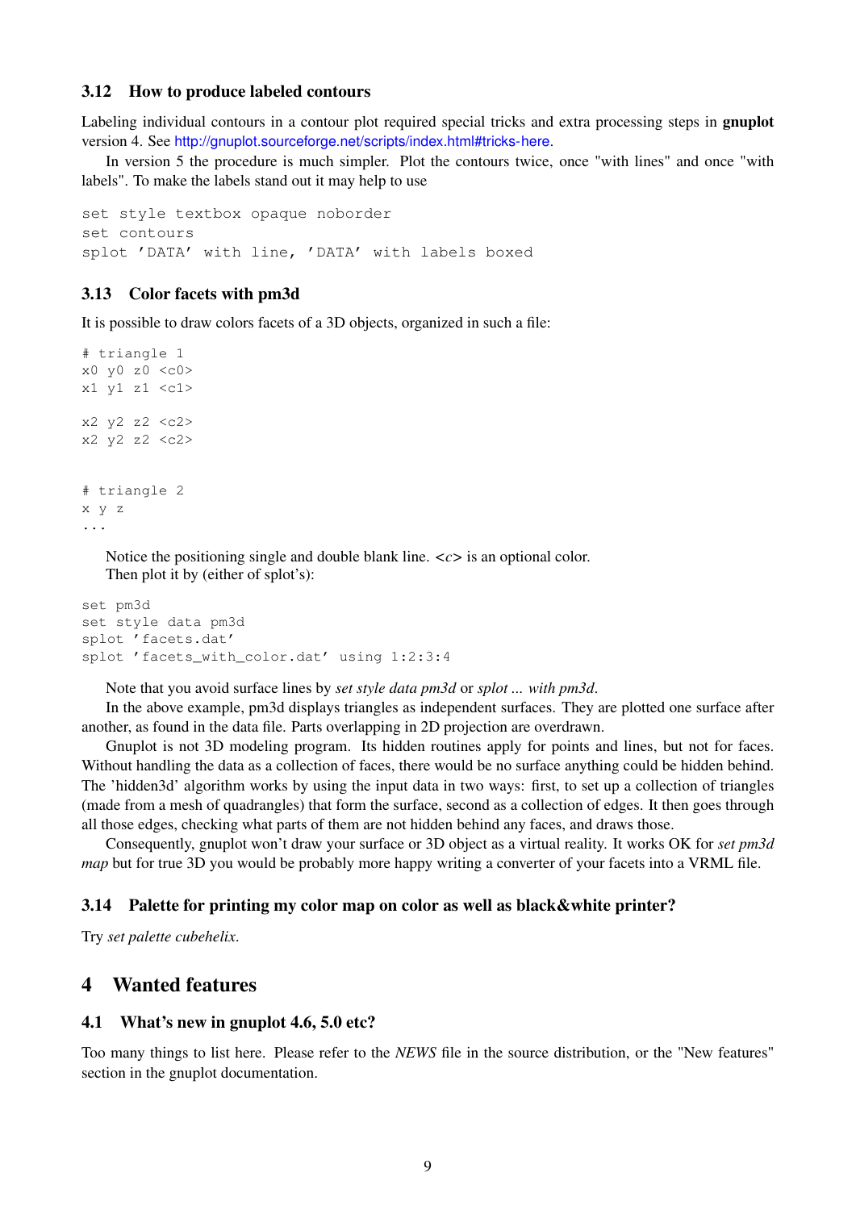#### <span id="page-8-0"></span>3.12 How to produce labeled contours

Labeling individual contours in a contour plot required special tricks and extra processing steps in **gnuplot** version 4. See <http://gnuplot.sourceforge.net/scripts/index.html#tricks-here>.

In version 5 the procedure is much simpler. Plot the contours twice, once "with lines" and once "with labels". To make the labels stand out it may help to use

```
set style textbox opaque noborder
set contours
splot 'DATA' with line, 'DATA' with labels boxed
```
#### <span id="page-8-1"></span>3.13 Color facets with pm3d

It is possible to draw colors facets of a 3D objects, organized in such a file:

```
# triangle 1
x0 y0 z0 <c0>
x1 y1 z1 <c1>
x2 y2 z2 <c2>
x2 y2 z2 <c2>
# triangle 2
x y z
...
```
Notice the positioning single and double blank line.  $\langle c \rangle$  is an optional color. Then plot it by (either of splot's):

```
set pm3d
set style data pm3d
splot 'facets.dat'
splot 'facets_with_color.dat' using 1:2:3:4
```
Note that you avoid surface lines by *set style data pm3d* or *splot ... with pm3d*.

In the above example, pm3d displays triangles as independent surfaces. They are plotted one surface after another, as found in the data file. Parts overlapping in 2D projection are overdrawn.

Gnuplot is not 3D modeling program. Its hidden routines apply for points and lines, but not for faces. Without handling the data as a collection of faces, there would be no surface anything could be hidden behind. The 'hidden3d' algorithm works by using the input data in two ways: first, to set up a collection of triangles (made from a mesh of quadrangles) that form the surface, second as a collection of edges. It then goes through all those edges, checking what parts of them are not hidden behind any faces, and draws those.

Consequently, gnuplot won't draw your surface or 3D object as a virtual reality. It works OK for *set pm3d map* but for true 3D you would be probably more happy writing a converter of your facets into a VRML file.

#### <span id="page-8-2"></span>3.14 Palette for printing my color map on color as well as black&white printer?

Try *set palette cubehelix*.

## <span id="page-8-3"></span>4 Wanted features

#### <span id="page-8-4"></span>4.1 What's new in gnuplot 4.6, 5.0 etc?

Too many things to list here. Please refer to the *NEWS* file in the source distribution, or the "New features" section in the gnuplot documentation.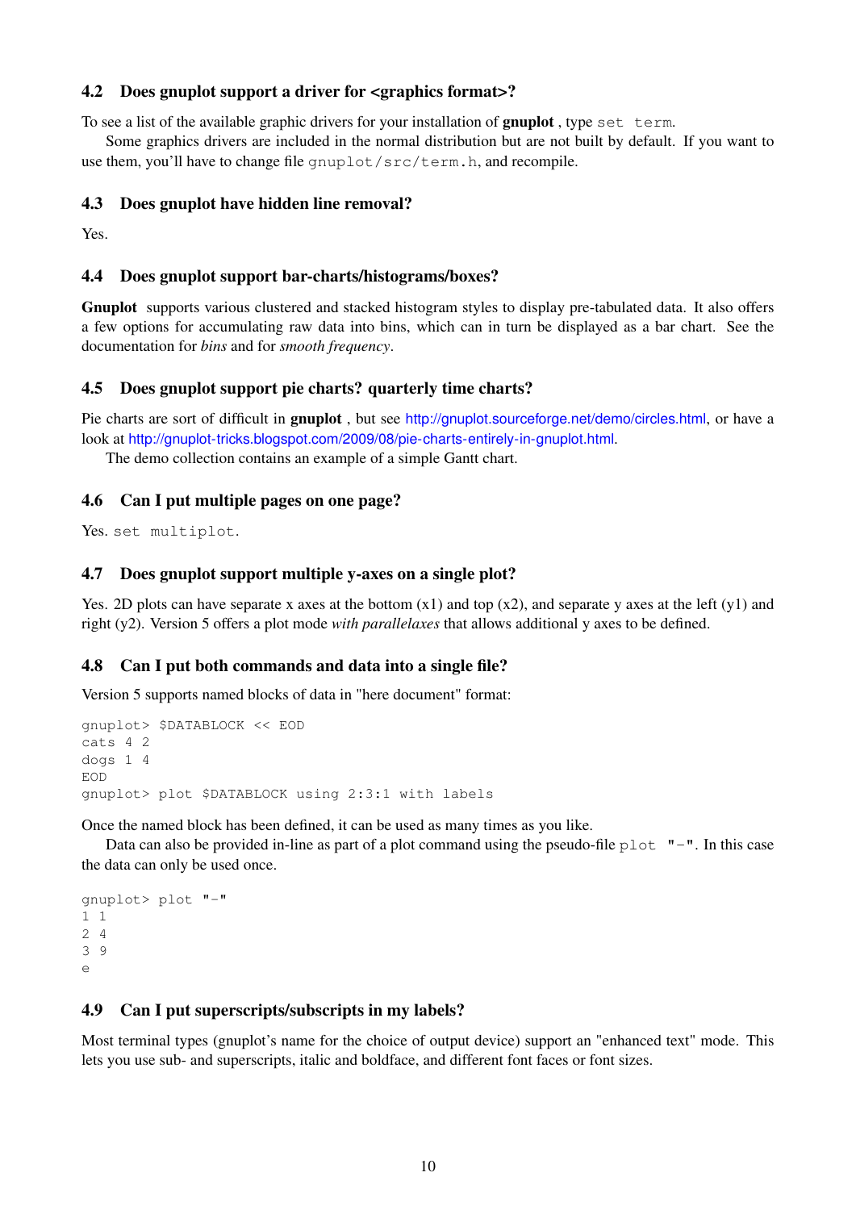## <span id="page-9-0"></span>4.2 Does gnuplot support a driver for <graphics format>?

To see a list of the available graphic drivers for your installation of **gnuplot**, type set term.

Some graphics drivers are included in the normal distribution but are not built by default. If you want to use them, you'll have to change file gnuplot/src/term.h, and recompile.

## <span id="page-9-1"></span>4.3 Does gnuplot have hidden line removal?

Yes.

## <span id="page-9-2"></span>4.4 Does gnuplot support bar-charts/histograms/boxes?

Gnuplot supports various clustered and stacked histogram styles to display pre-tabulated data. It also offers a few options for accumulating raw data into bins, which can in turn be displayed as a bar chart. See the documentation for *bins* and for *smooth frequency*.

## <span id="page-9-3"></span>4.5 Does gnuplot support pie charts? quarterly time charts?

Pie charts are sort of difficult in gnuplot , but see <http://gnuplot.sourceforge.net/demo/circles.html>, or have a look at <http://gnuplot-tricks.blogspot.com/2009/08/pie-charts-entirely-in-gnuplot.html>.

The demo collection contains an example of a simple Gantt chart.

## <span id="page-9-4"></span>4.6 Can I put multiple pages on one page?

Yes. set multiplot.

## <span id="page-9-5"></span>4.7 Does gnuplot support multiple y-axes on a single plot?

Yes. 2D plots can have separate x axes at the bottom  $(x1)$  and top  $(x2)$ , and separate y axes at the left  $(y1)$  and right (y2). Version 5 offers a plot mode *with parallelaxes* that allows additional y axes to be defined.

## <span id="page-9-6"></span>4.8 Can I put both commands and data into a single file?

Version 5 supports named blocks of data in "here document" format:

```
gnuplot> $DATABLOCK << EOD
cats 4 2
dogs 1 4
EOD
gnuplot> plot $DATABLOCK using 2:3:1 with labels
```
Once the named block has been defined, it can be used as many times as you like.

Data can also be provided in-line as part of a plot command using the pseudo-file  $p$ lot  $"$ -". In this case the data can only be used once.

```
gnuplot> plot "-"
1 1
2 4
3 9
e
```
## <span id="page-9-7"></span>4.9 Can I put superscripts/subscripts in my labels?

Most terminal types (gnuplot's name for the choice of output device) support an "enhanced text" mode. This lets you use sub- and superscripts, italic and boldface, and different font faces or font sizes.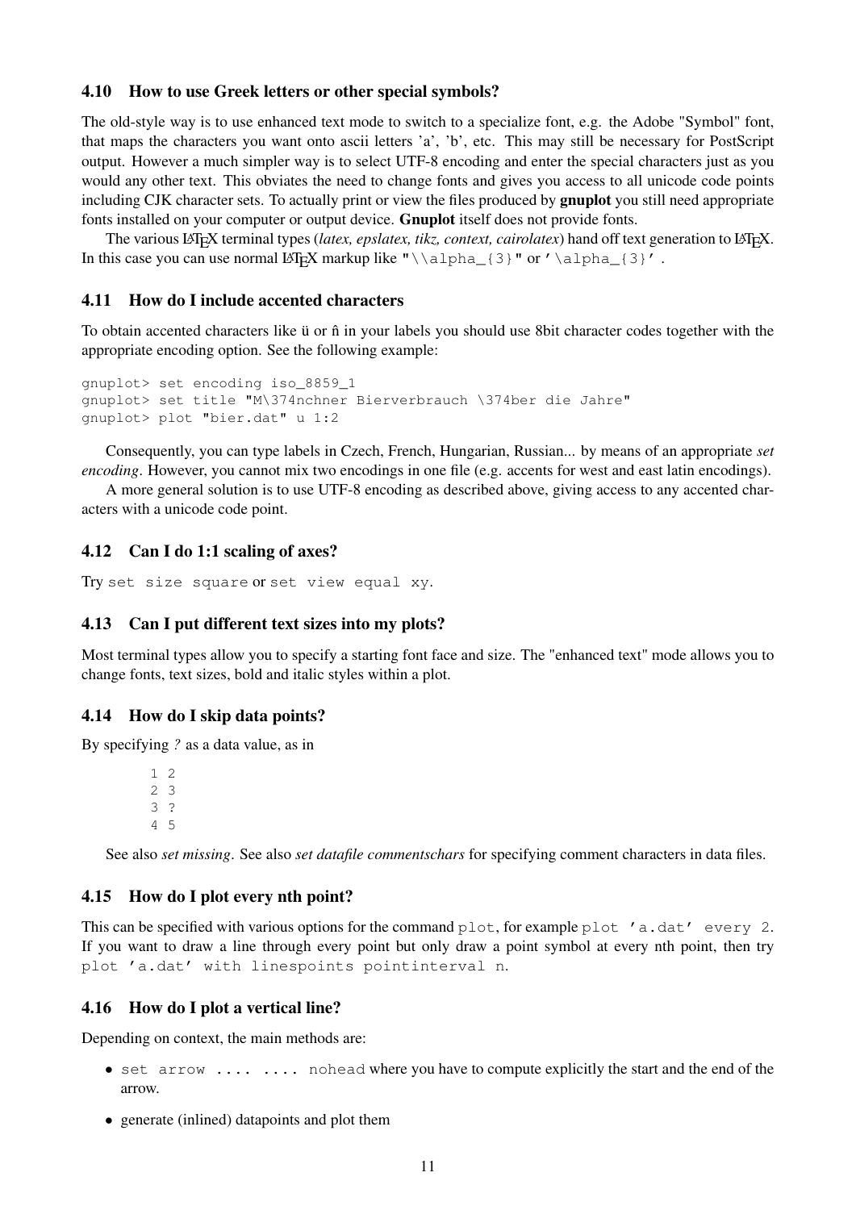#### <span id="page-10-0"></span>4.10 How to use Greek letters or other special symbols?

The old-style way is to use enhanced text mode to switch to a specialize font, e.g. the Adobe "Symbol" font, that maps the characters you want onto ascii letters 'a', 'b', etc. This may still be necessary for PostScript output. However a much simpler way is to select UTF-8 encoding and enter the special characters just as you would any other text. This obviates the need to change fonts and gives you access to all unicode code points including CJK character sets. To actually print or view the files produced by gnuplot you still need appropriate fonts installed on your computer or output device. Gnuplot itself does not provide fonts.

The various LAT<sub>EX</sub> terminal types (*latex, epslatex, tikz, context, cairolatex*) hand off text generation to LAT<sub>EX</sub>. In this case you can use normal LAT<sub>E</sub>X markup like " $\lambda_{3}$ " or ' $\alpha_{3}$ '.

#### <span id="page-10-1"></span>4.11 How do I include accented characters

To obtain accented characters like ü or  $\hat{n}$  in your labels you should use 8bit character codes together with the appropriate encoding option. See the following example:

```
gnuplot> set encoding iso_8859_1
gnuplot> set title "M\374nchner Bierverbrauch \374ber die Jahre"
gnuplot> plot "bier.dat" u 1:2
```
Consequently, you can type labels in Czech, French, Hungarian, Russian... by means of an appropriate *set encoding*. However, you cannot mix two encodings in one file (e.g. accents for west and east latin encodings).

A more general solution is to use UTF-8 encoding as described above, giving access to any accented characters with a unicode code point.

#### <span id="page-10-2"></span>4.12 Can I do 1:1 scaling of axes?

Try set size square or set view equal xy.

#### <span id="page-10-3"></span>4.13 Can I put different text sizes into my plots?

Most terminal types allow you to specify a starting font face and size. The "enhanced text" mode allows you to change fonts, text sizes, bold and italic styles within a plot.

#### <span id="page-10-4"></span>4.14 How do I skip data points?

By specifying *?* as a data value, as in

See also *set missing*. See also *set datafile commentschars* for specifying comment characters in data files.

## <span id="page-10-5"></span>4.15 How do I plot every nth point?

This can be specified with various options for the command  $plot$ , for example  $plot$  'a.dat' every 2. If you want to draw a line through every point but only draw a point symbol at every nth point, then try plot 'a.dat' with linespoints pointinterval n.

#### <span id="page-10-6"></span>4.16 How do I plot a vertical line?

Depending on context, the main methods are:

- set arrow .... .... nohead where you have to compute explicitly the start and the end of the arrow.
- generate (inlined) datapoints and plot them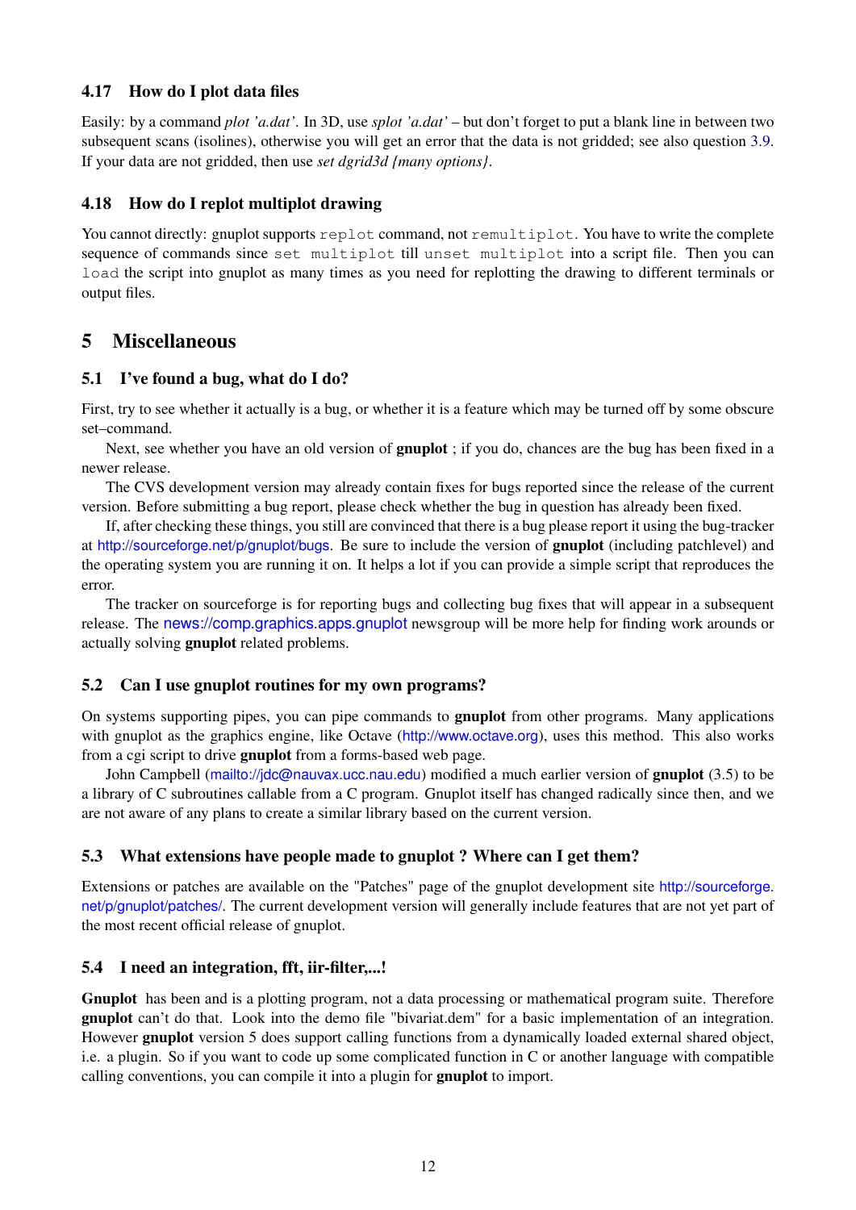## <span id="page-11-0"></span>4.17 How do I plot data files

Easily: by a command *plot 'a.dat'*. In 3D, use *splot 'a.dat'* – but don't forget to put a blank line in between two subsequent scans (isolines), otherwise you will get an error that the data is not gridded; see also question [3.9.](#page-7-2) If your data are not gridded, then use *set dgrid3d {many options}*.

## <span id="page-11-1"></span>4.18 How do I replot multiplot drawing

You cannot directly: gnuplot supports replot command, not remultiplot. You have to write the complete sequence of commands since set multiplot till unset multiplot into a script file. Then you can load the script into gnuplot as many times as you need for replotting the drawing to different terminals or output files.

## <span id="page-11-2"></span>5 Miscellaneous

## <span id="page-11-3"></span>5.1 I've found a bug, what do I do?

First, try to see whether it actually is a bug, or whether it is a feature which may be turned off by some obscure set–command.

Next, see whether you have an old version of **gnuplot**; if you do, chances are the bug has been fixed in a newer release.

The CVS development version may already contain fixes for bugs reported since the release of the current version. Before submitting a bug report, please check whether the bug in question has already been fixed.

If, after checking these things, you still are convinced that there is a bug please report it using the bug-tracker at <http://sourceforge.net/p/gnuplot/bugs>. Be sure to include the version of gnuplot (including patchlevel) and the operating system you are running it on. It helps a lot if you can provide a simple script that reproduces the error.

The tracker on sourceforge is for reporting bugs and collecting bug fixes that will appear in a subsequent release. The <news://comp.graphics.apps.gnuplot> newsgroup will be more help for finding work arounds or actually solving gnuplot related problems.

## <span id="page-11-4"></span>5.2 Can I use gnuplot routines for my own programs?

On systems supporting pipes, you can pipe commands to **gnuplot** from other programs. Many applications with gnuplot as the graphics engine, like Octave (<http://www.octave.org>), uses this method. This also works from a cgi script to drive gnuplot from a forms-based web page.

John Campbell (<mailto://jdc@nauvax.ucc.nau.edu>) modified a much earlier version of **gnuplot** (3.5) to be a library of C subroutines callable from a C program. Gnuplot itself has changed radically since then, and we are not aware of any plans to create a similar library based on the current version.

## <span id="page-11-5"></span>5.3 What extensions have people made to gnuplot ? Where can I get them?

Extensions or patches are available on the "Patches" page of the gnuplot development site [http://sourceforge.](http://sourceforge.net/p/gnuplot/patches/) [net/p/gnuplot/patches/](http://sourceforge.net/p/gnuplot/patches/). The current development version will generally include features that are not yet part of the most recent official release of gnuplot.

## <span id="page-11-6"></span>5.4 I need an integration, fft, iir-filter,...!

Gnuplot has been and is a plotting program, not a data processing or mathematical program suite. Therefore gnuplot can't do that. Look into the demo file "bivariat.dem" for a basic implementation of an integration. However gnuplot version 5 does support calling functions from a dynamically loaded external shared object, i.e. a plugin. So if you want to code up some complicated function in C or another language with compatible calling conventions, you can compile it into a plugin for gnuplot to import.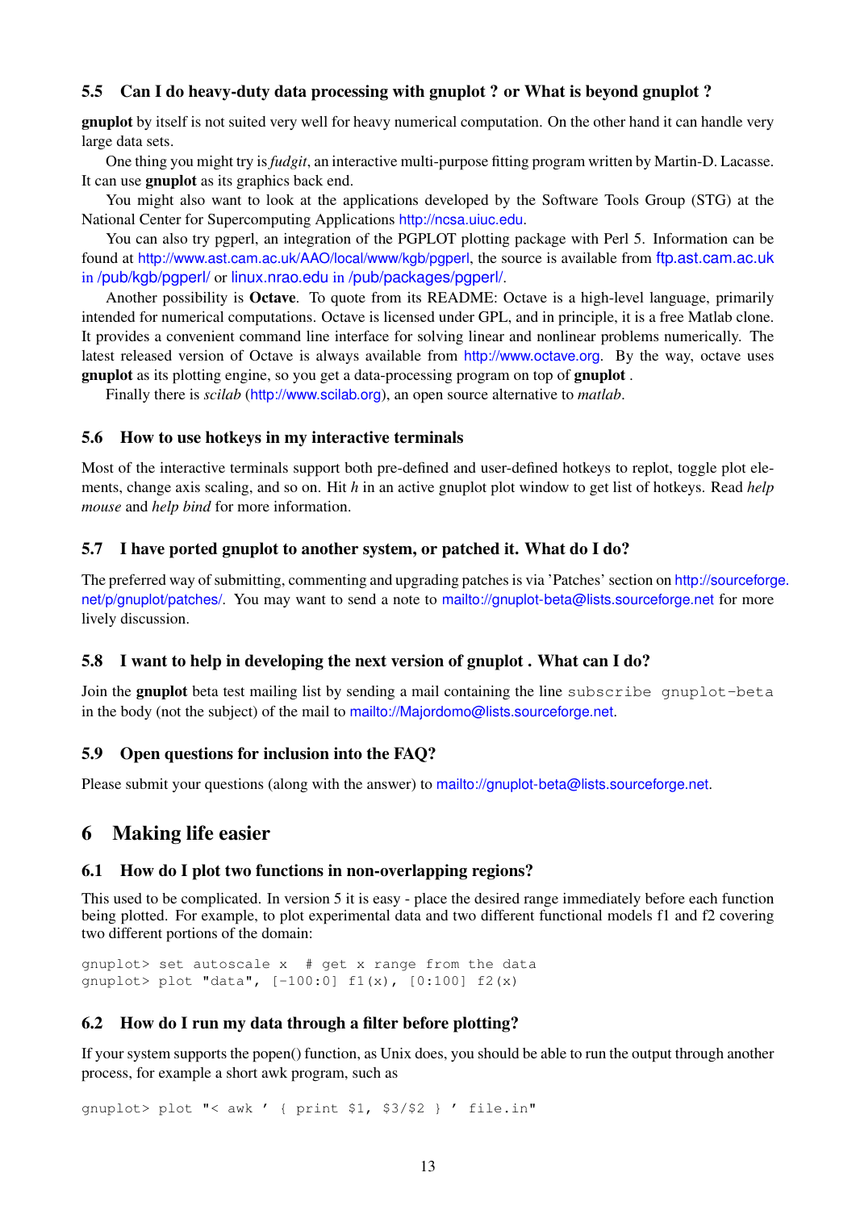## <span id="page-12-0"></span>5.5 Can I do heavy-duty data processing with gnuplot ? or What is beyond gnuplot ?

gnuplot by itself is not suited very well for heavy numerical computation. On the other hand it can handle very large data sets.

One thing you might try is*fudgit*, an interactive multi-purpose fitting program written by Martin-D. Lacasse. It can use gnuplot as its graphics back end.

You might also want to look at the applications developed by the Software Tools Group (STG) at the National Center for Supercomputing Applications <http://ncsa.uiuc.edu>.

You can also try pgperl, an integration of the PGPLOT plotting package with Perl 5. Information can be found at <http://www.ast.cam.ac.uk/AAO/local/www/kgb/pgperl>, the source is available from [ftp.ast.cam.ac.uk](ftp://ftp.ast.cam.ac.uk/pub/kgb/pgperl/) in [/pub/kgb/pgperl/](ftp://ftp.ast.cam.ac.uk/pub/kgb/pgperl/) or <linux.nrao.edu> in [/pub/packages/pgperl/](ftp://linux.nrao.edu/pub/packages/pgperl/).

Another possibility is Octave. To quote from its README: Octave is a high-level language, primarily intended for numerical computations. Octave is licensed under GPL, and in principle, it is a free Matlab clone. It provides a convenient command line interface for solving linear and nonlinear problems numerically. The latest released version of Octave is always available from <http://www.octave.org>. By the way, octave uses gnuplot as its plotting engine, so you get a data-processing program on top of gnuplot .

Finally there is *scilab* (<http://www.scilab.org>), an open source alternative to *matlab*.

#### <span id="page-12-1"></span>5.6 How to use hotkeys in my interactive terminals

Most of the interactive terminals support both pre-defined and user-defined hotkeys to replot, toggle plot elements, change axis scaling, and so on. Hit *h* in an active gnuplot plot window to get list of hotkeys. Read *help mouse* and *help bind* for more information.

#### <span id="page-12-2"></span>5.7 I have ported gnuplot to another system, or patched it. What do I do?

The preferred way of submitting, commenting and upgrading patches is via 'Patches' section on [http://sourceforg](http://sourceforge.net/p/gnuplot/patches/)e. [net/p/gnuplot/patches/](http://sourceforge.net/p/gnuplot/patches/). You may want to send a note to <mailto://gnuplot-beta@lists.sourceforge.net> for more lively discussion.

#### <span id="page-12-3"></span>5.8 I want to help in developing the next version of gnuplot . What can I do?

Join the gnuplot beta test mailing list by sending a mail containing the line subscribe gnuplot-beta in the body (not the subject) of the mail to <mailto://Majordomo@lists.sourceforge.net>.

#### <span id="page-12-4"></span>5.9 Open questions for inclusion into the FAQ?

Please submit your questions (along with the answer) to <mailto://gnuplot-beta@lists.sourceforge.net>.

## <span id="page-12-5"></span>6 Making life easier

#### <span id="page-12-6"></span>6.1 How do I plot two functions in non-overlapping regions?

This used to be complicated. In version 5 it is easy - place the desired range immediately before each function being plotted. For example, to plot experimental data and two different functional models f1 and f2 covering two different portions of the domain:

gnuplot> set autoscale x # get x range from the data gnuplot> plot "data", [-100:0] f1(x), [0:100] f2(x)

#### <span id="page-12-7"></span>6.2 How do I run my data through a filter before plotting?

If your system supports the popen() function, as Unix does, you should be able to run the output through another process, for example a short awk program, such as

gnuplot> plot "< awk ' { print \$1, \$3/\$2 } ' file.in"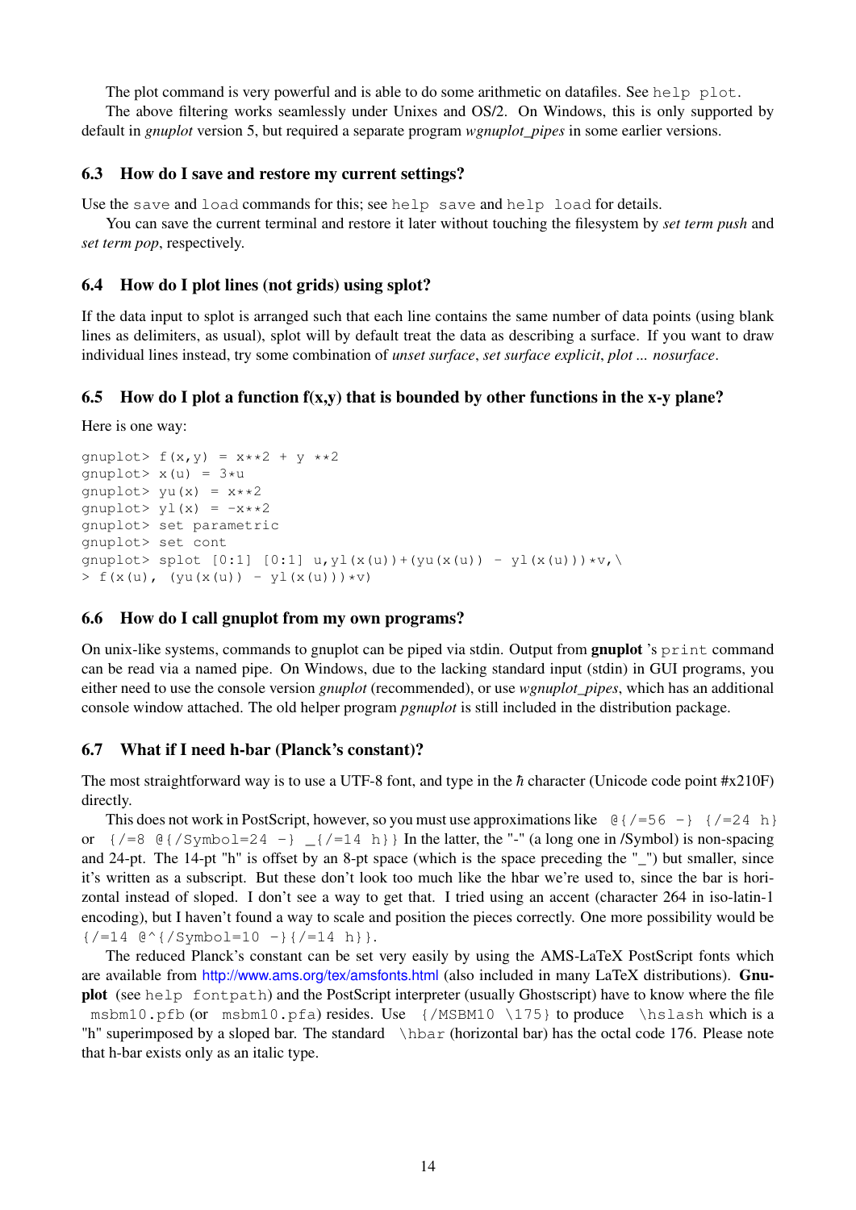The plot command is very powerful and is able to do some arithmetic on datafiles. See help plot.

The above filtering works seamlessly under Unixes and OS/2. On Windows, this is only supported by default in *gnuplot* version 5, but required a separate program *wgnuplot\_pipes* in some earlier versions.

#### <span id="page-13-0"></span>6.3 How do I save and restore my current settings?

Use the save and load commands for this; see help save and help load for details.

You can save the current terminal and restore it later without touching the filesystem by *set term push* and *set term pop*, respectively.

#### <span id="page-13-1"></span>6.4 How do I plot lines (not grids) using splot?

If the data input to splot is arranged such that each line contains the same number of data points (using blank lines as delimiters, as usual), splot will by default treat the data as describing a surface. If you want to draw individual lines instead, try some combination of *unset surface*, *set surface explicit*, *plot ... nosurface*.

#### <span id="page-13-2"></span>6.5 How do I plot a function  $f(x,y)$  that is bounded by other functions in the x-y plane?

Here is one way:

```
gnuplot> f(x,y) = x**2 + y**2qnuplot> x(u) = 3*ugnuplot> yu(x) = x * * 2gnuplot> yl(x) = -x**2gnuplot> set parametric
gnuplot> set cont
qnuplot> splot [0:1] [0:1] u, yl(x(u))+(yu(x(u)) - yl(x(u)))*v,
> f(x(u), (yu(x(u)) - yl(x(u))) *v)
```
#### <span id="page-13-3"></span>6.6 How do I call gnuplot from my own programs?

On unix-like systems, commands to gnuplot can be piped via stdin. Output from **gnuplot** 's print command can be read via a named pipe. On Windows, due to the lacking standard input (stdin) in GUI programs, you either need to use the console version *gnuplot* (recommended), or use *wgnuplot\_pipes*, which has an additional console window attached. The old helper program *pgnuplot* is still included in the distribution package.

#### <span id="page-13-4"></span>6.7 What if I need h-bar (Planck's constant)?

The most straightforward way is to use a UTF-8 font, and type in the  $\hbar$  character (Unicode code point #x210F) directly.

This does not work in PostScript, however, so you must use approximations like  $\theta$  {/=56 -} {/=24 h} or  $\{/-8 \ \theta\}/\text{Symbol}=24 -\}$   $\{/-14 \ h\}$  In the latter, the "-" (a long one in /Symbol) is non-spacing and 24-pt. The 14-pt "h" is offset by an 8-pt space (which is the space preceding the " ") but smaller, since it's written as a subscript. But these don't look too much like the hbar we're used to, since the bar is horizontal instead of sloped. I don't see a way to get that. I tried using an accent (character 264 in iso-latin-1 encoding), but I haven't found a way to scale and position the pieces correctly. One more possibility would be  $\{$  /=14  $@^{\wedge}$  { / Symbol=10 - } { /=14 h } }.

The reduced Planck's constant can be set very easily by using the AMS-LaTeX PostScript fonts which are available from <http://www.ams.org/tex/amsfonts.html> (also included in many LaTeX distributions). Gnuplot (see help fontpath) and the PostScript interpreter (usually Ghostscript) have to know where the file msbm10.pfb (or msbm10.pfa) resides. Use  $\{/MSBM10 \setminus 175\}$  to produce  $\hbox{hslash which is a}$ "h" superimposed by a sloped bar. The standard \hbar (horizontal bar) has the octal code 176. Please note that h-bar exists only as an italic type.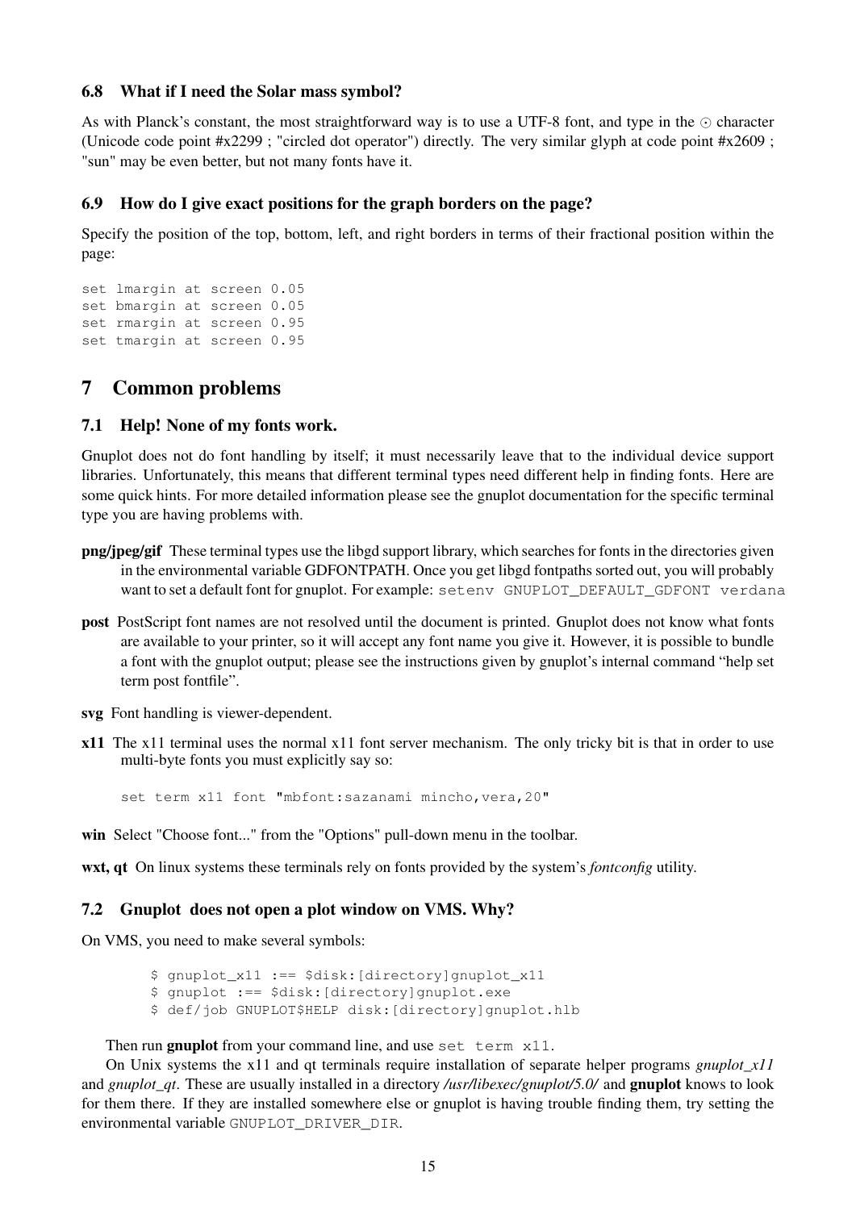#### <span id="page-14-0"></span>6.8 What if I need the Solar mass symbol?

As with Planck's constant, the most straightforward way is to use a UTF-8 font, and type in the  $\odot$  character (Unicode code point #x2299 ; "circled dot operator") directly. The very similar glyph at code point #x2609 ; "sun" may be even better, but not many fonts have it.

#### <span id="page-14-1"></span>6.9 How do I give exact positions for the graph borders on the page?

Specify the position of the top, bottom, left, and right borders in terms of their fractional position within the page:

```
set lmargin at screen 0.05
set bmargin at screen 0.05
set rmargin at screen 0.95
set tmargin at screen 0.95
```
## <span id="page-14-2"></span>7 Common problems

## <span id="page-14-3"></span>7.1 Help! None of my fonts work.

Gnuplot does not do font handling by itself; it must necessarily leave that to the individual device support libraries. Unfortunately, this means that different terminal types need different help in finding fonts. Here are some quick hints. For more detailed information please see the gnuplot documentation for the specific terminal type you are having problems with.

- png/jpeg/gif These terminal types use the libgd support library, which searches for fonts in the directories given in the environmental variable GDFONTPATH. Once you get libgd fontpaths sorted out, you will probably want to set a default font for gnuplot. For example: setenv GNUPLOT DEFAULT GDFONT verdana
- post PostScript font names are not resolved until the document is printed. Gnuplot does not know what fonts are available to your printer, so it will accept any font name you give it. However, it is possible to bundle a font with the gnuplot output; please see the instructions given by gnuplot's internal command "help set term post fontfile".
- svg Font handling is viewer-dependent.
- x11 The x11 terminal uses the normal x11 font server mechanism. The only tricky bit is that in order to use multi-byte fonts you must explicitly say so:

set term x11 font "mbfont: sazanami mincho, vera, 20"

win Select "Choose font..." from the "Options" pull-down menu in the toolbar.

wxt, qt On linux systems these terminals rely on fonts provided by the system's *fontconfig* utility.

## <span id="page-14-4"></span>7.2 Gnuplot does not open a plot window on VMS. Why?

On VMS, you need to make several symbols:

\$ gnuplot\_x11 :== \$disk:[directory]gnuplot\_x11

- \$ gnuplot :== \$disk:[directory]gnuplot.exe
- \$ def/job GNUPLOT\$HELP disk:[directory]gnuplot.hlb

#### Then run gnuplot from your command line, and use set term x11.

On Unix systems the x11 and qt terminals require installation of separate helper programs *gnuplot\_x11* and *gnuplot qt*. These are usually installed in a directory */usr/libexec/gnuplot*/5.0/ and **gnuplot** knows to look for them there. If they are installed somewhere else or gnuplot is having trouble finding them, try setting the environmental variable GNUPLOT\_DRIVER\_DIR.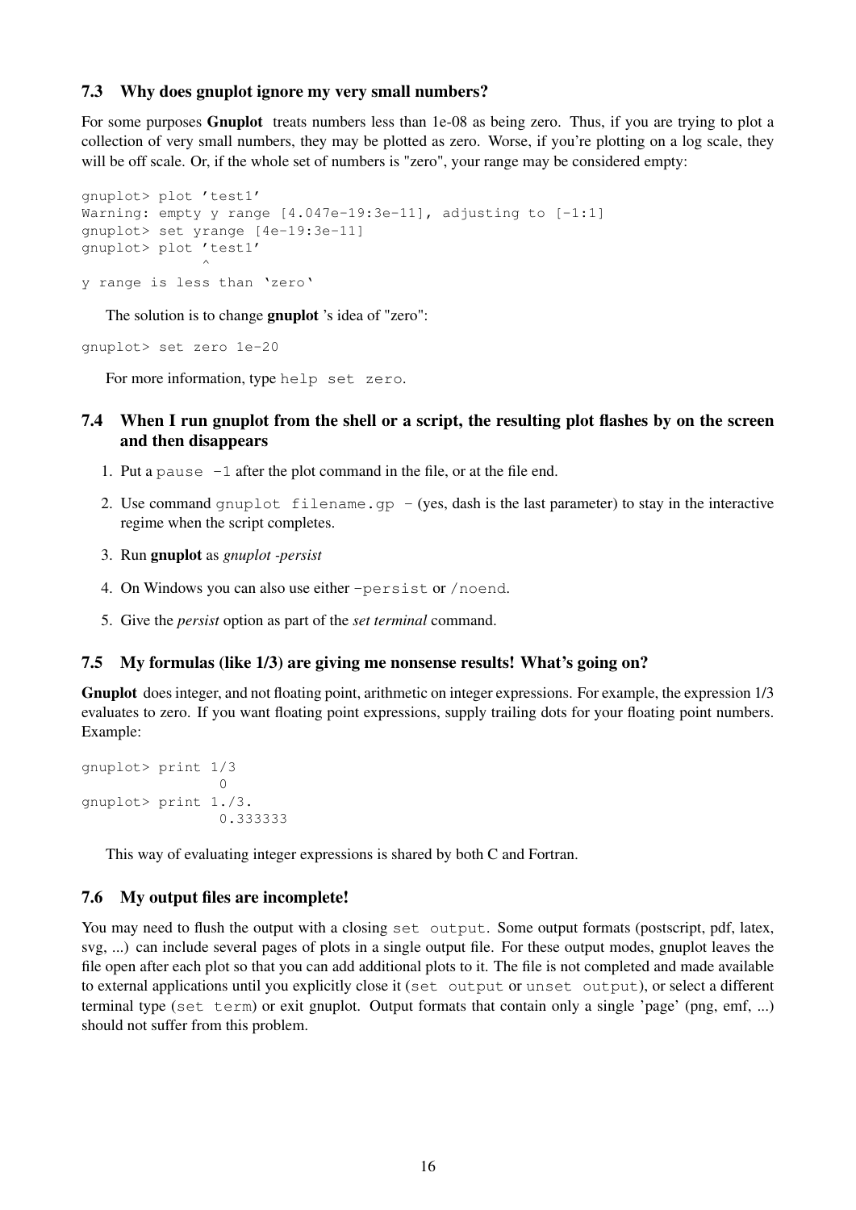## <span id="page-15-0"></span>7.3 Why does gnuplot ignore my very small numbers?

For some purposes **Gnuplot** treats numbers less than 1e-08 as being zero. Thus, if you are trying to plot a collection of very small numbers, they may be plotted as zero. Worse, if you're plotting on a log scale, they will be off scale. Or, if the whole set of numbers is "zero", your range may be considered empty:

```
gnuplot> plot 'test1'
Warning: empty y range [4.047e-19:3e-11], adjusting to [-1:1]
gnuplot> set yrange [4e-19:3e-11]
gnuplot> plot 'test1'
               \hat{ }y range is less than 'zero'
```
The solution is to change **gnuplot** 's idea of "zero":

gnuplot> set zero 1e-20

For more information, type help set zero.

## <span id="page-15-1"></span>7.4 When I run gnuplot from the shell or a script, the resulting plot flashes by on the screen and then disappears

- 1. Put a pause -1 after the plot command in the file, or at the file end.
- 2. Use command gnuplot filename.gp  $-$  (yes, dash is the last parameter) to stay in the interactive regime when the script completes.
- 3. Run gnuplot as *gnuplot -persist*
- 4. On Windows you can also use either -persist or /noend.
- 5. Give the *persist* option as part of the *set terminal* command.

#### <span id="page-15-2"></span>7.5 My formulas (like 1/3) are giving me nonsense results! What's going on?

Gnuplot does integer, and not floating point, arithmetic on integer expressions. For example, the expression 1/3 evaluates to zero. If you want floating point expressions, supply trailing dots for your floating point numbers. Example:

```
gnuplot> print 1/3
                \capgnuplot> print 1./3.
                0.333333
```
This way of evaluating integer expressions is shared by both C and Fortran.

#### <span id="page-15-3"></span>7.6 My output files are incomplete!

You may need to flush the output with a closing set output. Some output formats (postscript, pdf, latex, svg, ...) can include several pages of plots in a single output file. For these output modes, gnuplot leaves the file open after each plot so that you can add additional plots to it. The file is not completed and made available to external applications until you explicitly close it (set output or unset output), or select a different terminal type (set term) or exit gnuplot. Output formats that contain only a single 'page' (png, emf, ...) should not suffer from this problem.